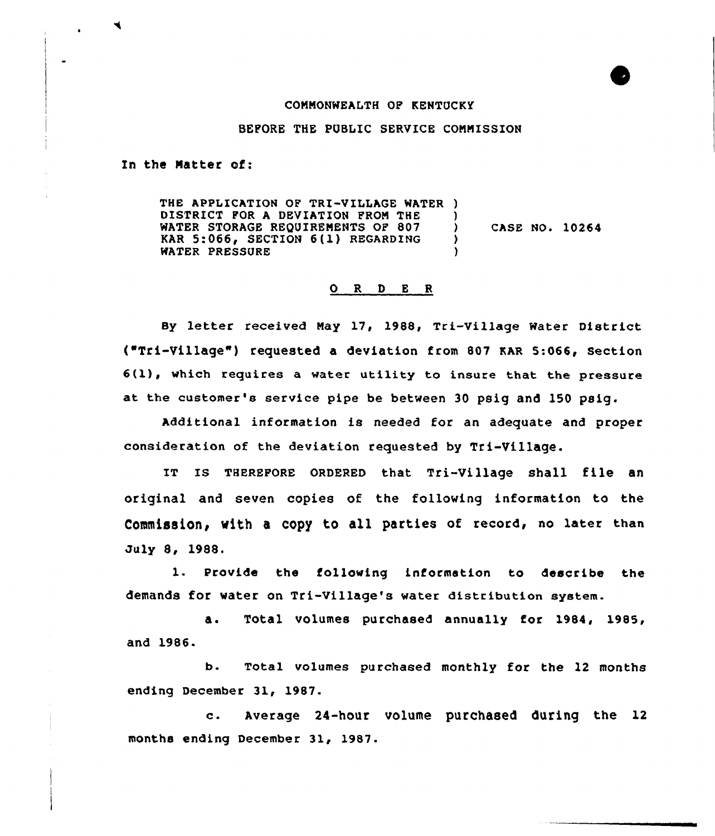## CONNONWEALTH OF KENTUCKy

## BEFORE THE PUBLIC SERVICE CONNISSION

In the Natter of:

THE APPLICATION OF TRI-VILLAGE WATER ) DISTRICT FOR A DEVIATION FROM THE )<br>WATER STORAGE REOUIREMENTS OF 807 ) WATER STORAGE REQUIREMENTS OF 807 (3)<br>KAR 5:066, SECTION 6(1) REGARDING KAR 5:066, SECTION 6(1) REGARDING ) WATER PRESSURE CASE NO. 10264

## 0 R <sup>D</sup> <sup>E</sup> <sup>R</sup>

By letter received May 17, 1988, Tri-Village Water District ("Tri-village" ) requested a deviation from 807 EAR 5:066, section 6(l), which requires <sup>a</sup> water utility to insure that the pressure at the customer's service pipe be between 30 psig and 150 psig.

Additional information is needed for an adequate and proper consideration of the deviation requested by Tri-Village.

IT Is THEREPQRE 0RDERED that Tri-village shall file an original and seven copies of the following information to the Commission, with a copy to all parties of record, no later than July 8, 1988.

1. Provide the following information to describe the demands for water on Tri-Village's water distribution system.

a. Total volumes purchased annually for 1984, 1985, and 1986.

b. Total volumes purchased monthly for the 12 months ending December 31, 1987.

c. Average 24-hour volume purchased during the <sup>12</sup> months ending December 31, 1987.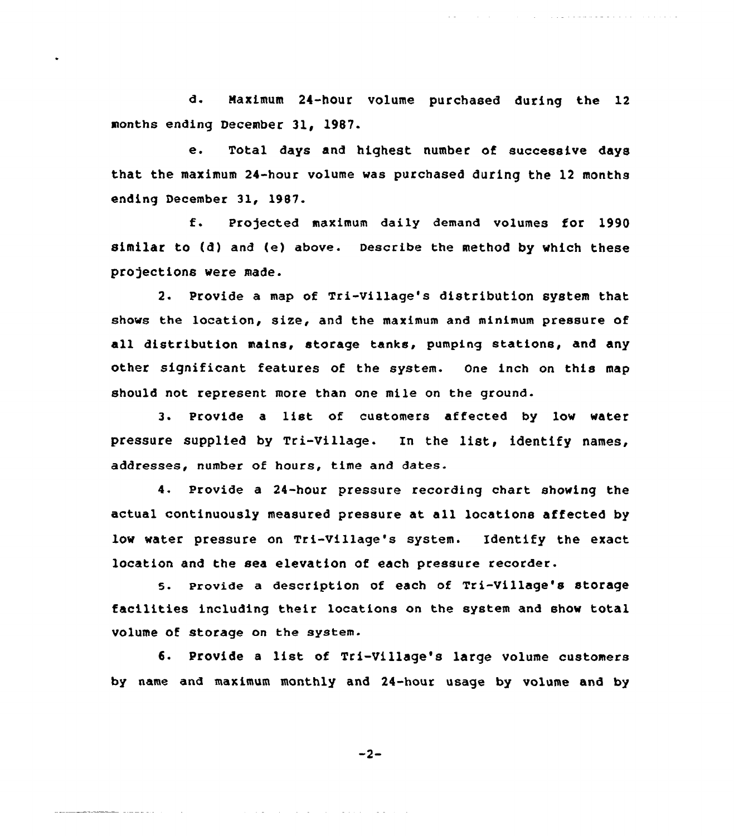d. Maximum 24-hour volume purchased during the 12 months ending December 31, l987.

a provincia de la constitución de la califactura de la califactura de la califactura de la califactura de la c

e. Total days and highest number of successive days that the maximum 24-hour volume was purchased during the 12 months ending December 31, 1987.

f. Pro)ected maximum daily demand volumes for <sup>1990</sup> similar to (d) and (e) above. Describe the method by which these projections were made.

2. Provide a map of Tri-village's distribution system that shows the location, size, and the maximum and minimum pressure of all distribution mains, storage tanks, pumping stations, and any other significant features of the system. One inch on this map should not represent more than one mile on the ground.

3. Provide a list of customers affected by low water pressure supplied by Tri-Village. In the list, identify names, addresses, number of hours, time and dates.

4. Provide a 24-hour pressure recording chart showing the actual continuously measured pressure at. all locations affected by low water pressure on Tri-Village's system. Identify the exact location and the sea elevation of each pressure recorder.

5. Provide a description of each of Tri-Village's storage facilities including their locations on the system and show total volume of storage on the system.

6. Provide <sup>a</sup> list of Tri-Village's large volume customers by name and maximum monthly and 24-hour usage by volume and by

$$
-2-
$$

المتابعة والمستحدث والمتحاف والمتناول والمتناول والمتناول والمتناول والمتناول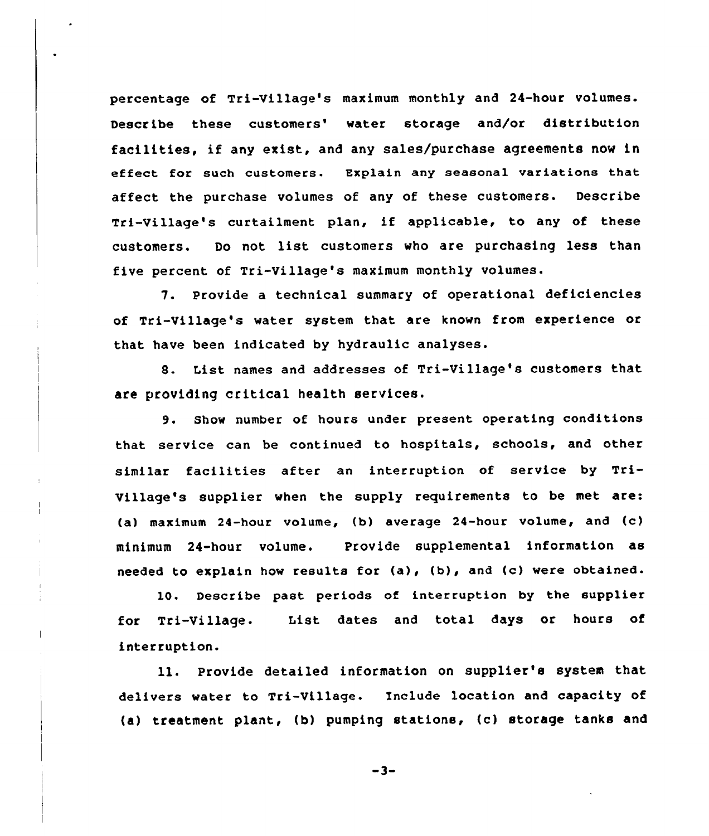percentage of Tri-Village's maximum monthly and 24-hour volumes. Describe these customers' water storage and/or distribution facilities, if any exist, and any sales/purchase agreements now in effect for such customers. Explain any seasonal variations that affect the purchase volumes of any of these customers. Describe Tri-Village's curtailment plan, if applicable, to any of these customers. Do not list customers who are purchasing less than five percent of Tri-Village's maximum monthly volumes.

7. Provide a technical summary of operational deficiencies of Tri-Village's water system that are known from experience or that have been indicated by hydraulic analyses.

8. List names and addresses of Tri-Village's customers that are providing critical health services.

9. Show number of hours under present operating conditions that service can be continued to hospitals, schools, and other similar facilities after an interruption of service by Tri-Village's supplier when the supply requirements to be met are: (a) maximum 24-hour volume, (b) average 24-hour volume, and (c) minimum 24-hour volume. Provide supplemental information as needed to explain how results for (a), (b), and (c) were obtained.

10. Describe past periods of interruption by the supplier for Tri-Village. List dates and total days or hours of interruption.

ll. Provide detailed information on supplier's system that delivers water to Tri-Village. Include location and capacity of {a) treatment plant, (b) pumping stations, {c) storage tanks and

 $-3-$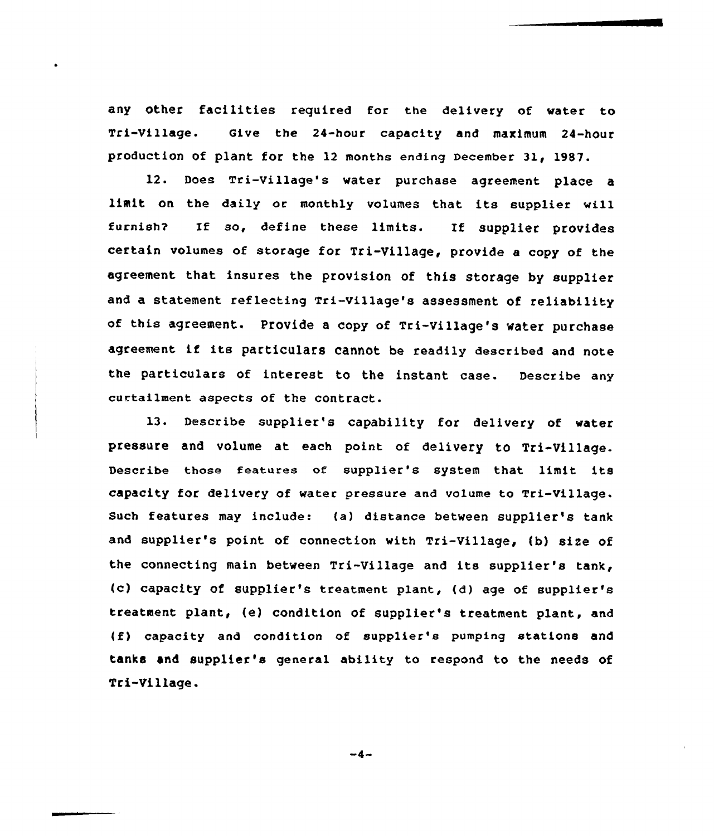any other facilities reguired for the delivery of water to Tri-Village. aive the 24-hour capacity and maximum 24-hour production of plant for the 12 months ending December 31< 1987.

12. Does Tri-Village's water purchase agreement place <sup>a</sup> limit on the daily or monthly volumes that its supplier will furnish? If so, define these limits. If supplier provides certain volumes of storage for Tri-Village, provide <sup>a</sup> copy of the agreement that insures the provision of this storage by supplier and a statement reflecting Tri-village's assessment of reliability of this agreement. Provide <sup>a</sup> copy of Tri-village's water purchase agreement if its particulars cannot be readily described and note the particulars of interest to the instant case. Describe any curtailment aspects of the contract.

13. Describe supplier's capability for delivery of water pressure and volume at each point of delivery to Tri-Village. Describe those features of supplier's system that limit its capacity for delivery of water pressure and volume to Tri-village. Such features may include: (a) distance between supplier's tank and supplier's point of connection with Tri-Village, (b) size of the connecting main between Tri-Village and its supplier's tank, {c) capacity of supplier's treatment plant, (d) age of supplier's treatment plant, (e) condition of supplier's treatment plant, and (f) capacity and condition of supplier's pumping stations and tanks and supplier's general ability to respond to the needs of Tri-Village.

 $-4-$